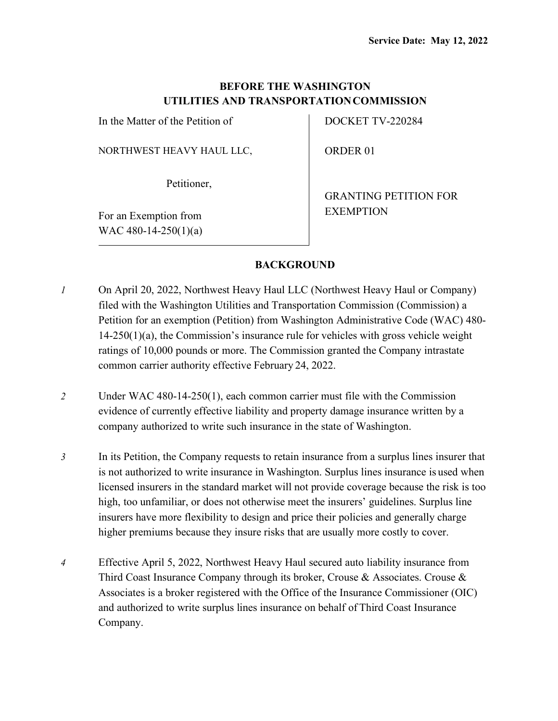# **BEFORE THE WASHINGTON UTILITIES AND TRANSPORTATIONCOMMISSION**

In the Matter of the Petition of

NORTHWEST HEAVY HAUL LLC,

Petitioner,

For an Exemption from WAC 480-14-250(1)(a) DOCKET TV-220284

ORDER 01

GRANTING PETITION FOR EXEMPTION

## **BACKGROUND**

- *1* On April 20, 2022, Northwest Heavy Haul LLC (Northwest Heavy Haul or Company) filed with the Washington Utilities and Transportation Commission (Commission) a Petition for an exemption (Petition) from Washington Administrative Code (WAC) 480- 14-250(1)(a), the Commission's insurance rule for vehicles with gross vehicle weight ratings of 10,000 pounds or more. The Commission granted the Company intrastate common carrier authority effective February 24, 2022.
- *2* Under WAC 480-14-250(1), each common carrier must file with the Commission evidence of currently effective liability and property damage insurance written by a company authorized to write such insurance in the state of Washington.
- *3* In its Petition, the Company requests to retain insurance from a surplus lines insurer that is not authorized to write insurance in Washington. Surplus lines insurance is used when licensed insurers in the standard market will not provide coverage because the risk is too high, too unfamiliar, or does not otherwise meet the insurers' guidelines. Surplus line insurers have more flexibility to design and price their policies and generally charge higher premiums because they insure risks that are usually more costly to cover.
- *4* Effective April 5, 2022, Northwest Heavy Haul secured auto liability insurance from Third Coast Insurance Company through its broker, Crouse & Associates. Crouse & Associates is a broker registered with the Office of the Insurance Commissioner (OIC) and authorized to write surplus lines insurance on behalf of Third Coast Insurance Company.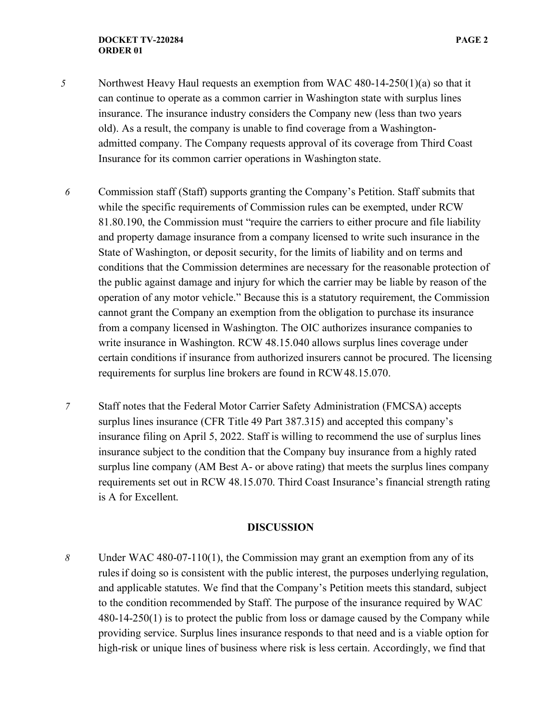- *5* Northwest Heavy Haul requests an exemption from WAC 480-14-250(1)(a) so that it can continue to operate as a common carrier in Washington state with surplus lines insurance. The insurance industry considers the Company new (less than two years old). As a result, the company is unable to find coverage from a Washingtonadmitted company. The Company requests approval of its coverage from Third Coast Insurance for its common carrier operations in Washington state.
- *6* Commission staff (Staff) supports granting the Company's Petition. Staff submits that while the specific requirements of Commission rules can be exempted, under RCW 81.80.190, the Commission must "require the carriers to either procure and file liability and property damage insurance from a company licensed to write such insurance in the State of Washington, or deposit security, for the limits of liability and on terms and conditions that the Commission determines are necessary for the reasonable protection of the public against damage and injury for which the carrier may be liable by reason of the operation of any motor vehicle." Because this is a statutory requirement, the Commission cannot grant the Company an exemption from the obligation to purchase its insurance from a company licensed in Washington. The OIC authorizes insurance companies to write insurance in Washington. RCW 48.15.040 allows surplus lines coverage under certain conditions if insurance from authorized insurers cannot be procured. The licensing requirements for surplus line brokers are found in RCW48.15.070.
- *7* Staff notes that the Federal Motor Carrier Safety Administration (FMCSA) accepts surplus lines insurance (CFR Title 49 Part 387.315) and accepted this company's insurance filing on April 5, 2022. Staff is willing to recommend the use of surplus lines insurance subject to the condition that the Company buy insurance from a highly rated surplus line company (AM Best A- or above rating) that meets the surplus lines company requirements set out in RCW 48.15.070. Third Coast Insurance's financial strength rating is A for Excellent.

#### **DISCUSSION**

*8* Under WAC 480-07-110(1), the Commission may grant an exemption from any of its rules if doing so is consistent with the public interest, the purposes underlying regulation, and applicable statutes. We find that the Company's Petition meets this standard, subject to the condition recommended by Staff. The purpose of the insurance required by WAC 480-14-250(1) is to protect the public from loss or damage caused by the Company while providing service. Surplus lines insurance responds to that need and is a viable option for high-risk or unique lines of business where risk is less certain. Accordingly, we find that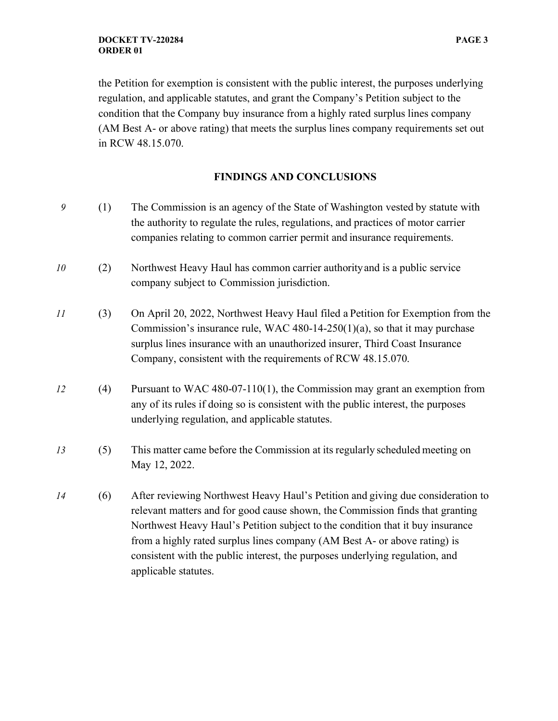the Petition for exemption is consistent with the public interest, the purposes underlying regulation, and applicable statutes, and grant the Company's Petition subject to the condition that the Company buy insurance from a highly rated surplus lines company (AM Best A- or above rating) that meets the surplus lines company requirements set out in RCW 48.15.070.

### **FINDINGS AND CONCLUSIONS**

- *9* (1) The Commission is an agency of the State of Washington vested by statute with the authority to regulate the rules, regulations, and practices of motor carrier companies relating to common carrier permit and insurance requirements.
- *10* (2) Northwest Heavy Haul has common carrier authorityand is a public service company subject to Commission jurisdiction.
- *11* (3) On April 20, 2022, Northwest Heavy Haul filed a Petition for Exemption from the Commission's insurance rule, WAC 480-14-250(1)(a), so that it may purchase surplus lines insurance with an unauthorized insurer, Third Coast Insurance Company, consistent with the requirements of RCW 48.15.070.
- *12* (4) Pursuant to WAC 480-07-110(1), the Commission may grant an exemption from any of its rules if doing so is consistent with the public interest, the purposes underlying regulation, and applicable statutes.
- *13* (5) This matter came before the Commission at its regularly scheduled meeting on May 12, 2022.
- *14* (6) After reviewing Northwest Heavy Haul's Petition and giving due consideration to relevant matters and for good cause shown, the Commission finds that granting Northwest Heavy Haul's Petition subject to the condition that it buy insurance from a highly rated surplus lines company (AM Best A- or above rating) is consistent with the public interest, the purposes underlying regulation, and applicable statutes.